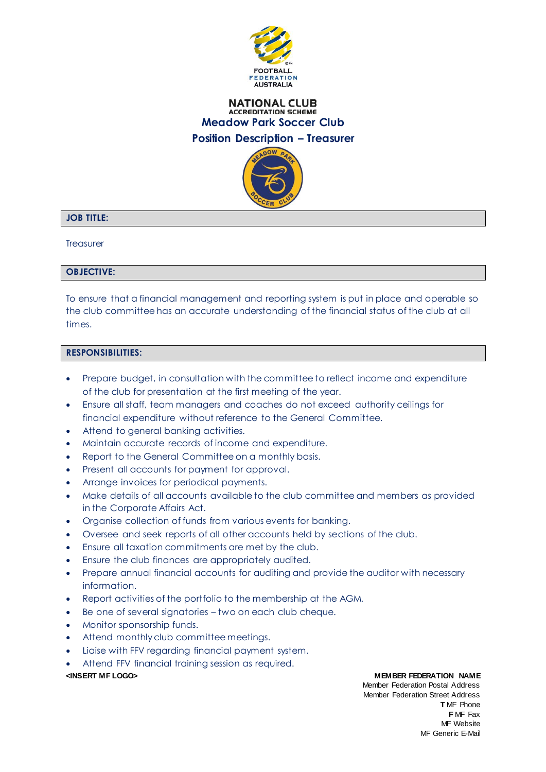

## **NATIONAL CLUB ACCREDITATION SCHEME Meadow Park Soccer Club Position Description – Treasurer**



# **JOB TITLE:**

**Treasurer** 

## **OBJECTIVE:**

To ensure that a financial management and reporting system is put in place and operable so the club committee has an accurate understanding of the financial status of the club at all times.

## **RESPONSIBILITIES:**

- Prepare budget, in consultation with the committee to reflect income and expenditure of the club for presentation at the first meeting of the year.
- Ensure all staff, team managers and coaches do not exceed authority ceilings for financial expenditure without reference to the General Committee.
- Attend to general banking activities.
- Maintain accurate records of income and expenditure.
- Report to the General Committee on a monthly basis.
- Present all accounts for payment for approval.
- Arrange invoices for periodical payments.
- Make details of all accounts available to the club committee and members as provided in the Corporate Affairs Act.
- Organise collection of funds from various events for banking.
- Oversee and seek reports of all other accounts held by sections of the club.
- Ensure all taxation commitments are met by the club.
- Ensure the club finances are appropriately audited.
- Prepare annual financial accounts for auditing and provide the auditor with necessary information.
- Report activities of the portfolio to the membership at the AGM.
- Be one of several signatories two on each club cheque.
- Monitor sponsorship funds.
- Attend monthly club committee meetings.
- Liaise with FFV regarding financial payment system.
- Attend FFV financial training session as required.

### **<INSERT MF LOGO> MEMBER FEDERATION NAME**

Member Federation Postal Address Member Federation Street Address **T** MF Phone **F** MF Fax MF Website MF Generic E-Mail